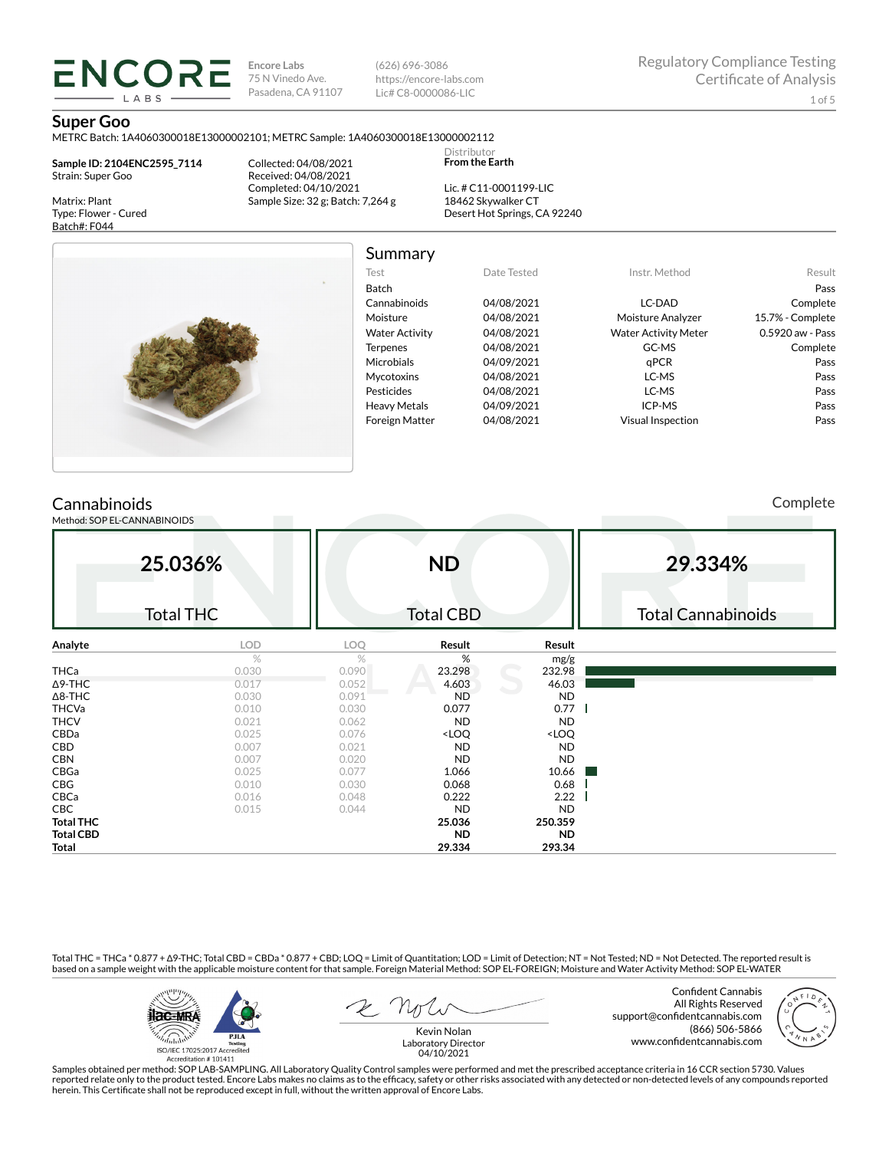**Encore Labs** 75 N Vinedo Ave. Pasadena, CA 91107 (626) 696-3086 https://encore-labs.com Lic# C8-0000086-LIC

Summary

Distributor **From the Earth**

#### **Super Goo**

METRC Batch: 1A4060300018E13000002101; METRC Sample: 1A4060300018E13000002112

**Sample ID: 2104ENC2595\_7114** Strain: Super Goo

**ENCORI** LABS

Matrix: Plant Type: Flower - Cured Batch#: F044

Collected: 04/08/2021 Received: 04/08/2021 Completed: 04/10/2021 Sample Size: 32 g; Batch: 7,264 g

Lic. # C11-0001199-LIC 18462 Skywalker CT Desert Hot Springs, CA 92240



| Test                  | Date Tested | Instr. Method               | Result           |
|-----------------------|-------------|-----------------------------|------------------|
| Batch                 |             |                             | Pass             |
| Cannabinoids          | 04/08/2021  | LC-DAD                      | Complete         |
| Moisture              | 04/08/2021  | Moisture Analyzer           | 15.7% - Complete |
| <b>Water Activity</b> | 04/08/2021  | <b>Water Activity Meter</b> | 0.5920 aw - Pass |
| <b>Terpenes</b>       | 04/08/2021  | GC-MS                       | Complete         |
| Microbials            | 04/09/2021  | qPCR                        | Pass             |
| Mycotoxins            | 04/08/2021  | LC-MS                       | Pass             |
| Pesticides            | 04/08/2021  | LC-MS                       | Pass             |
| <b>Heavy Metals</b>   | 04/09/2021  | ICP-MS                      | Pass             |
| <b>Foreign Matter</b> | 04/08/2021  | <b>Visual Inspection</b>    | Pass             |

## **Cannabinoids**

Method: SOP EL-CANNABINOIDS

Complete

| 29.334%                   |
|---------------------------|
|                           |
| <b>Total Cannabinoids</b> |
|                           |
|                           |
|                           |
|                           |
|                           |
|                           |
|                           |
|                           |
|                           |
|                           |
|                           |
|                           |
|                           |
|                           |
|                           |
|                           |
|                           |

Total THC = THCa \* 0.877 + ∆9-THC; Total CBD = CBDa \* 0.877 + CBD; LOQ = Limit of Quantitation; LOD = Limit of Detection; NT = Not Tested; ND = Not Detected. The reported result is based on a sample weight with the applicable moisture content for that sample. Foreign Material Method: SOP EL-FOREIGN; Moisture and Water Activity Method: SOP EL-WATER

**Total 29.334 293.34**



Confident Cannabis



All Rights Reserved support@confidentcannabis.com (866) 506-5866 www.confidentcannabis.com



Kevin Nolan Laboratory Director 04/10/2021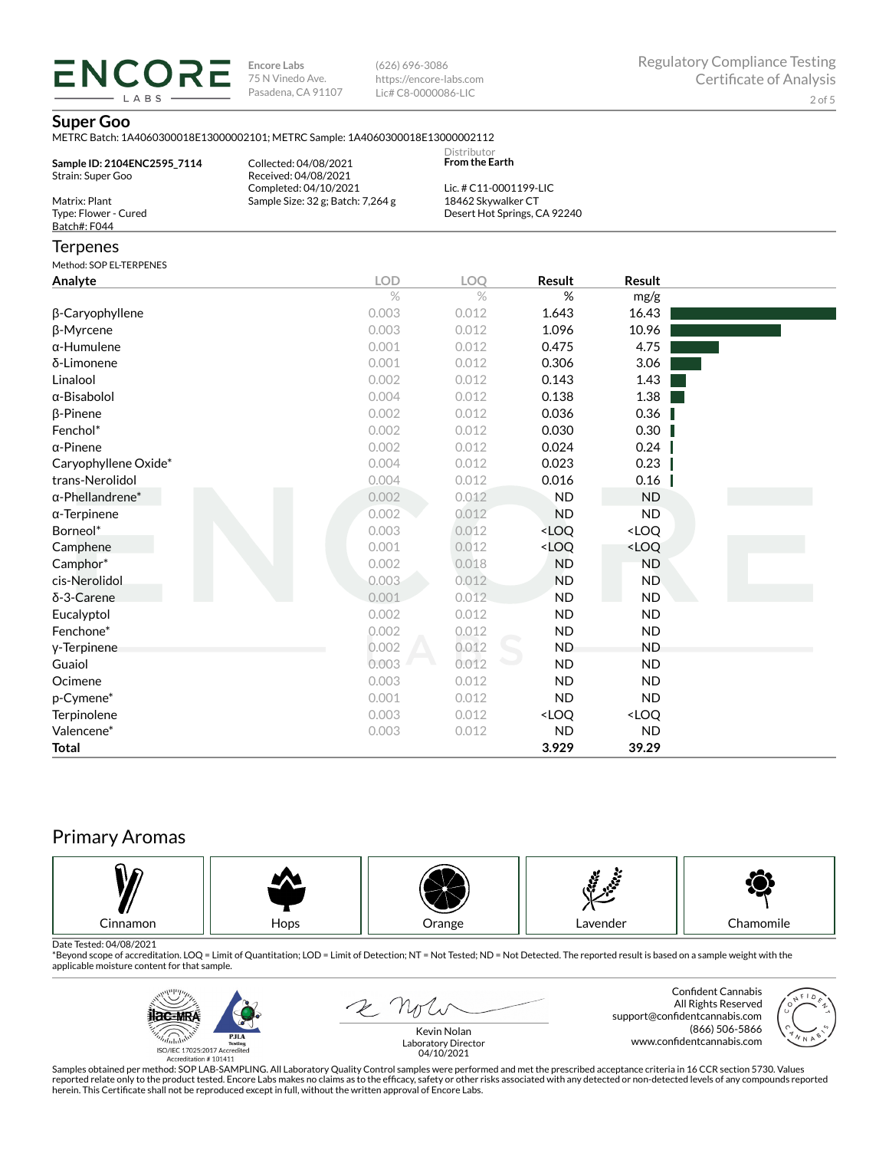**ENCORE Encore Labs** 75 N Vinedo Ave. Pasadena, CA 91107

(626) 696-3086 https://encore-labs.com Lic# C8-0000086-LIC

## **Super Goo**

LABS

|                                                       | METRC Batch: 1A4060300018E13000002101; METRC Sample: 1A4060300018E13000002112 |                                              |                              |        |  |
|-------------------------------------------------------|-------------------------------------------------------------------------------|----------------------------------------------|------------------------------|--------|--|
| Sample ID: 2104ENC2595_7114<br>Strain: Super Goo      | Collected: 04/08/2021<br>Received: 04/08/2021                                 | Distributor<br><b>From the Earth</b>         |                              |        |  |
| Matrix: Plant<br>Type: Flower - Cured<br>Batch#: F044 | Completed: 04/10/2021<br>Sample Size: 32 g; Batch: 7,264 g                    | Lic. # C11-0001199-LIC<br>18462 Skywalker CT | Desert Hot Springs, CA 92240 |        |  |
| Terpenes                                              |                                                                               |                                              |                              |        |  |
| Method: SOP EL-TERPENES                               |                                                                               |                                              |                              |        |  |
| Analyte                                               | <b>LOD</b>                                                                    | <b>LOQ</b>                                   | Result                       | Result |  |
|                                                       | $\%$                                                                          | $\frac{0}{2}$                                | %                            | mg/g   |  |
| β-Caryophyllene                                       | 0.003                                                                         | 0.012                                        | 1.643                        | 16.43  |  |
| β-Myrcene                                             | 0.003                                                                         | 0.012                                        | 1.096                        | 10.96  |  |
| α-Humulene                                            | 0.001                                                                         | 0.012                                        | 0.475                        | 4.75   |  |
| δ-Limonene                                            | 0.001                                                                         | 0.012                                        | 0.306                        | 3.06   |  |
| Linalool                                              | 0.002                                                                         | 0.012                                        | 0.143                        | 1.43   |  |
| α-Bisabolol                                           | 0.004                                                                         | 0.012                                        | 0.138                        | 1.38   |  |
| β-Pinene                                              | 0.002                                                                         | 0.012                                        | 0.036                        | 0.36   |  |
| Fenchol*                                              | 0.002                                                                         | 0.012                                        | 0.030                        | 0.30   |  |
| α-Pinene                                              | 0.002                                                                         | 0.012                                        | 0.024                        | 0.24   |  |
| Caryophyllene Oxide*                                  | 0.004                                                                         | 0.012                                        | 0.023                        | 0.23   |  |
| trans-Nerolidol                                       | 0.004                                                                         | 0.012                                        | 0.016                        | 0.16   |  |
| α-Phellandrene*                                       | 0.002                                                                         | 0.012                                        | ND                           | ND     |  |
|                                                       |                                                                               |                                              |                              |        |  |

| Fenchol <sup>-</sup>    | U.UUZ | 0.012 | <b>0.030</b>                                    | U.3U                |
|-------------------------|-------|-------|-------------------------------------------------|---------------------|
| $\alpha$ -Pinene        | 0.002 | 0.012 | 0.024                                           | 0.24                |
| Caryophyllene Oxide*    | 0.004 | 0.012 | 0.023                                           | 0.23                |
| trans-Nerolidol         | 0.004 | 0.012 | 0.016                                           | 0.16                |
| $\alpha$ -Phellandrene* | 0.002 | 0.012 | ND.                                             | ND.                 |
| $\alpha$ -Terpinene     | 0.002 | 0.012 | ND.                                             | ND.                 |
| Borneol*                | 0.003 | 0.012 | <loq< td=""><td><loq< td=""></loq<></td></loq<> | <loq< td=""></loq<> |
| Camphene                | 0.001 | 0.012 | <loq< td=""><td><loq< td=""></loq<></td></loq<> | <loq< td=""></loq<> |
| Camphor*                | 0.002 | 0.018 | ND.                                             | ND.                 |
| cis-Nerolidol           | 0.003 | 0.012 | ND.                                             | ND.                 |
| $\delta$ -3-Carene      | 0.001 | 0.012 | ND.                                             | ND.                 |
| Eucalyptol              | 0.002 | 0.012 | <b>ND</b>                                       | ND.                 |
| Fenchone*               | 0.002 | 0.012 | ND.                                             | ND                  |
| y-Terpinene             | 0.002 | 0.012 | ND.                                             | <b>ND</b>           |
| Guaiol                  | 0.003 | 0.012 | ND.                                             | ND                  |
| Ocimene                 | 0.003 | 0.012 | ND.                                             | ND                  |
| p-Cymene*               | 0.001 | 0.012 | ND.                                             | ND                  |
| Terpinolene             | 0.003 | 0.012 | <loq< td=""><td><loq< td=""></loq<></td></loq<> | <loq< td=""></loq<> |
| Valencene*              | 0.003 | 0.012 | ND.                                             | ND                  |
| Total                   |       |       | 3.929                                           | 39.29               |

# Primary Aromas



Date Tested: 04/08/2021<br>\*Beyond scope of accreditation. LOQ = Limit of Quantitation; LOD = Limit of Detection; NT = Not Tested; ND = Not Detected. The reported result is based on a sample weight with the applicable moisture content for that sample.



2 not

Confident Cannabis All Rights Reserved support@confidentcannabis.com (866) 506-5866 www.confidentcannabis.com



Kevin Nolan Laboratory Director 04/10/2021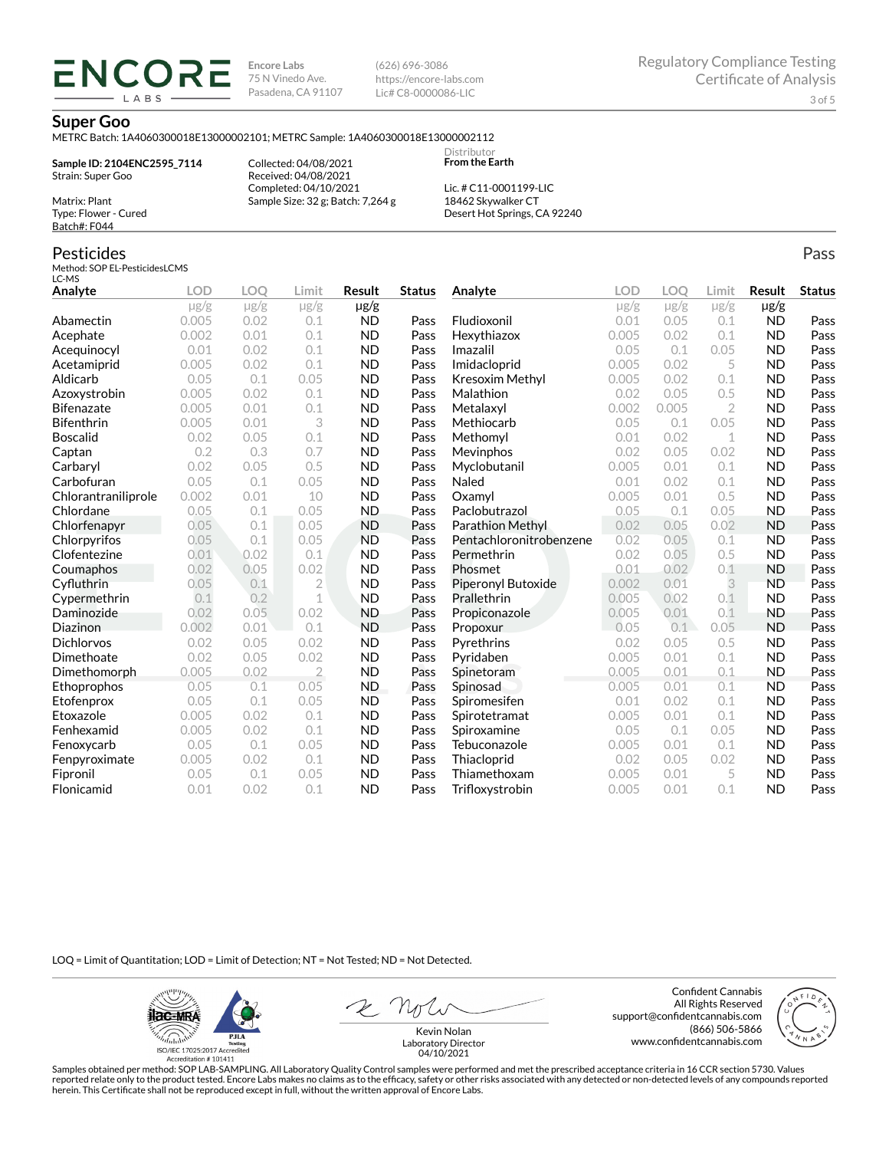**Encore Labs** 75 N Vinedo Ave. Pasadena, CA 91107 (626) 696-3086 https://encore-labs.com Lic# C8-0000086-LIC

> Distributor **From the Earth**

#### **Super Goo**

METRC Batch: 1A4060300018E13000002101; METRC Sample: 1A4060300018E13000002112

**Sample ID: 2104ENC2595\_7114** Strain: Super Goo

ENCOR LABS

> Collected: 04/08/2021 Received: 04/08/2021 Completed: 04/10/2021 Sample Size: 32 g; Batch: 7,264 g

Lic. # C11-0001199-LIC 18462 Skywalker CT Desert Hot Springs, CA 92240

## Pesticides

Matrix: Plant Type: Flower - Cured Batch#: F044

Method: SOP EL-PesticidesLCMS  $LC-MS$ 

| Analyte             | <b>LOD</b> | <b>LOO</b> | Limit          | Result    | <b>Status</b> | Analyte                 | LOD       | LOO       | Limit          | Result    | <b>Status</b> |
|---------------------|------------|------------|----------------|-----------|---------------|-------------------------|-----------|-----------|----------------|-----------|---------------|
|                     | $\mu$ g/g  | $\mu$ g/g  | $\mu$ g/g      | $\mu$ g/g |               |                         | $\mu$ g/g | $\mu$ g/g | $\mu$ g/g      | $\mu$ g/g |               |
| Abamectin           | 0.005      | 0.02       | 0.1            | <b>ND</b> | Pass          | Fludioxonil             | 0.01      | 0.05      | 0.1            | <b>ND</b> | Pass          |
| Acephate            | 0.002      | 0.01       | 0.1            | <b>ND</b> | Pass          | Hexythiazox             | 0.005     | 0.02      | 0.1            | <b>ND</b> | Pass          |
| Acequinocyl         | 0.01       | 0.02       | 0.1            | <b>ND</b> | Pass          | Imazalil                | 0.05      | 0.1       | 0.05           | <b>ND</b> | Pass          |
| Acetamiprid         | 0.005      | 0.02       | 0.1            | <b>ND</b> | Pass          | Imidacloprid            | 0.005     | 0.02      | 5              | <b>ND</b> | Pass          |
| Aldicarb            | 0.05       | 0.1        | 0.05           | <b>ND</b> | Pass          | Kresoxim Methyl         | 0.005     | 0.02      | 0.1            | <b>ND</b> | Pass          |
| Azoxystrobin        | 0.005      | 0.02       | 0.1            | <b>ND</b> | Pass          | Malathion               | 0.02      | 0.05      | 0.5            | <b>ND</b> | Pass          |
| Bifenazate          | 0.005      | 0.01       | 0.1            | <b>ND</b> | Pass          | Metalaxyl               | 0.002     | 0.005     | $\overline{2}$ | <b>ND</b> | Pass          |
| <b>Bifenthrin</b>   | 0.005      | 0.01       | 3              | <b>ND</b> | Pass          | Methiocarb              | 0.05      | 0.1       | 0.05           | <b>ND</b> | Pass          |
| <b>Boscalid</b>     | 0.02       | 0.05       | 0.1            | <b>ND</b> | Pass          | Methomyl                | 0.01      | 0.02      | 1              | <b>ND</b> | Pass          |
| Captan              | 0.2        | 0.3        | 0.7            | <b>ND</b> | Pass          | Mevinphos               | 0.02      | 0.05      | 0.02           | <b>ND</b> | Pass          |
| Carbaryl            | 0.02       | 0.05       | 0.5            | <b>ND</b> | Pass          | Myclobutanil            | 0.005     | 0.01      | 0.1            | <b>ND</b> | Pass          |
| Carbofuran          | 0.05       | 0.1        | 0.05           | <b>ND</b> | Pass          | Naled                   | 0.01      | 0.02      | 0.1            | <b>ND</b> | Pass          |
| Chlorantraniliprole | 0.002      | 0.01       | 10             | <b>ND</b> | Pass          | Oxamyl                  | 0.005     | 0.01      | 0.5            | <b>ND</b> | Pass          |
| Chlordane           | 0.05       | 0.1        | 0.05           | <b>ND</b> | Pass          | Paclobutrazol           | 0.05      | 0.1       | 0.05           | <b>ND</b> | Pass          |
| Chlorfenapyr        | 0.05       | 0.1        | 0.05           | <b>ND</b> | Pass          | Parathion Methyl        | 0.02      | 0.05      | 0.02           | <b>ND</b> | Pass          |
| Chlorpyrifos        | 0.05       | 0.1        | 0.05           | <b>ND</b> | Pass          | Pentachloronitrobenzene | 0.02      | 0.05      | 0.1            | <b>ND</b> | Pass          |
| Clofentezine        | 0.01       | 0.02       | 0.1            | <b>ND</b> | Pass          | Permethrin              | 0.02      | 0.05      | 0.5            | <b>ND</b> | Pass          |
| Coumaphos           | 0.02       | 0.05       | 0.02           | <b>ND</b> | Pass          | Phosmet                 | 0.01      | 0.02      | 0.1            | <b>ND</b> | Pass          |
| Cyfluthrin          | 0.05       | 0.1        | $\overline{2}$ | <b>ND</b> | Pass          | Piperonyl Butoxide      | 0.002     | 0.01      | 3              | <b>ND</b> | Pass          |
| Cypermethrin        | 0.1        | 0.2        | $\mathbf 1$    | <b>ND</b> | Pass          | Prallethrin             | 0.005     | 0.02      | 0.1            | <b>ND</b> | Pass          |
| Daminozide          | 0.02       | 0.05       | 0.02           | <b>ND</b> | Pass          | Propiconazole           | 0.005     | 0.01      | 0.1            | <b>ND</b> | Pass          |
| Diazinon            | 0.002      | 0.01       | 0.1            | <b>ND</b> | Pass          | Propoxur                | 0.05      | 0.1       | 0.05           | <b>ND</b> | Pass          |
| <b>Dichlorvos</b>   | 0.02       | 0.05       | 0.02           | <b>ND</b> | Pass          | Pyrethrins              | 0.02      | 0.05      | 0.5            | <b>ND</b> | Pass          |
| Dimethoate          | 0.02       | 0.05       | 0.02           | <b>ND</b> | Pass          | Pyridaben               | 0.005     | 0.01      | 0.1            | <b>ND</b> | Pass          |
| Dimethomorph        | 0.005      | 0.02       | $\overline{2}$ | <b>ND</b> | Pass          | Spinetoram              | 0.005     | 0.01      | 0.1            | <b>ND</b> | Pass          |
| Ethoprophos         | 0.05       | 0.1        | 0.05           | <b>ND</b> | Pass          | Spinosad                | 0.005     | 0.01      | 0.1            | <b>ND</b> | Pass          |
| Etofenprox          | 0.05       | 0.1        | 0.05           | <b>ND</b> | Pass          | Spiromesifen            | 0.01      | 0.02      | 0.1            | <b>ND</b> | Pass          |
| Etoxazole           | 0.005      | 0.02       | 0.1            | <b>ND</b> | Pass          | Spirotetramat           | 0.005     | 0.01      | 0.1            | <b>ND</b> | Pass          |
| Fenhexamid          | 0.005      | 0.02       | 0.1            | <b>ND</b> | Pass          | Spiroxamine             | 0.05      | 0.1       | 0.05           | <b>ND</b> | Pass          |
| Fenoxycarb          | 0.05       | 0.1        | 0.05           | <b>ND</b> | Pass          | Tebuconazole            | 0.005     | 0.01      | 0.1            | <b>ND</b> | Pass          |
| Fenpyroximate       | 0.005      | 0.02       | 0.1            | <b>ND</b> | Pass          | Thiacloprid             | 0.02      | 0.05      | 0.02           | <b>ND</b> | Pass          |
| Fipronil            | 0.05       | 0.1        | 0.05           | <b>ND</b> | Pass          | Thiamethoxam            | 0.005     | 0.01      | 5              | <b>ND</b> | Pass          |
| Flonicamid          | 0.01       | 0.02       | 0.1            | <b>ND</b> | Pass          | Trifloxystrobin         | 0.005     | 0.01      | 0.1            | <b>ND</b> | Pass          |

LOQ = Limit of Quantitation; LOD = Limit of Detection; NT = Not Tested; ND = Not Detected.

**ilac-MRA PJLA**  $d_{\rm thbb}$ ISO/IEC 17025:2017 Ac

Accreditation #101411

Confident Cannabis All Rights Reserved support@confidentcannabis.com (866) 506-5866 www.confidentcannabis.com



Kevin Nolan Laboratory Director 04/10/2021

Samples obtained per method: SOP LAB-SAMPLING. All Laboratory Quality Control samples were performed and met the prescribed acceptance criteria in 16 CCR section 5730. Values reported relate only to the product tested. Encore Labs makes no claims as to the efficacy, safety or other risks associated with any detected or non-detected levels of any compounds reported<br>herein. This Certificate shall

Pass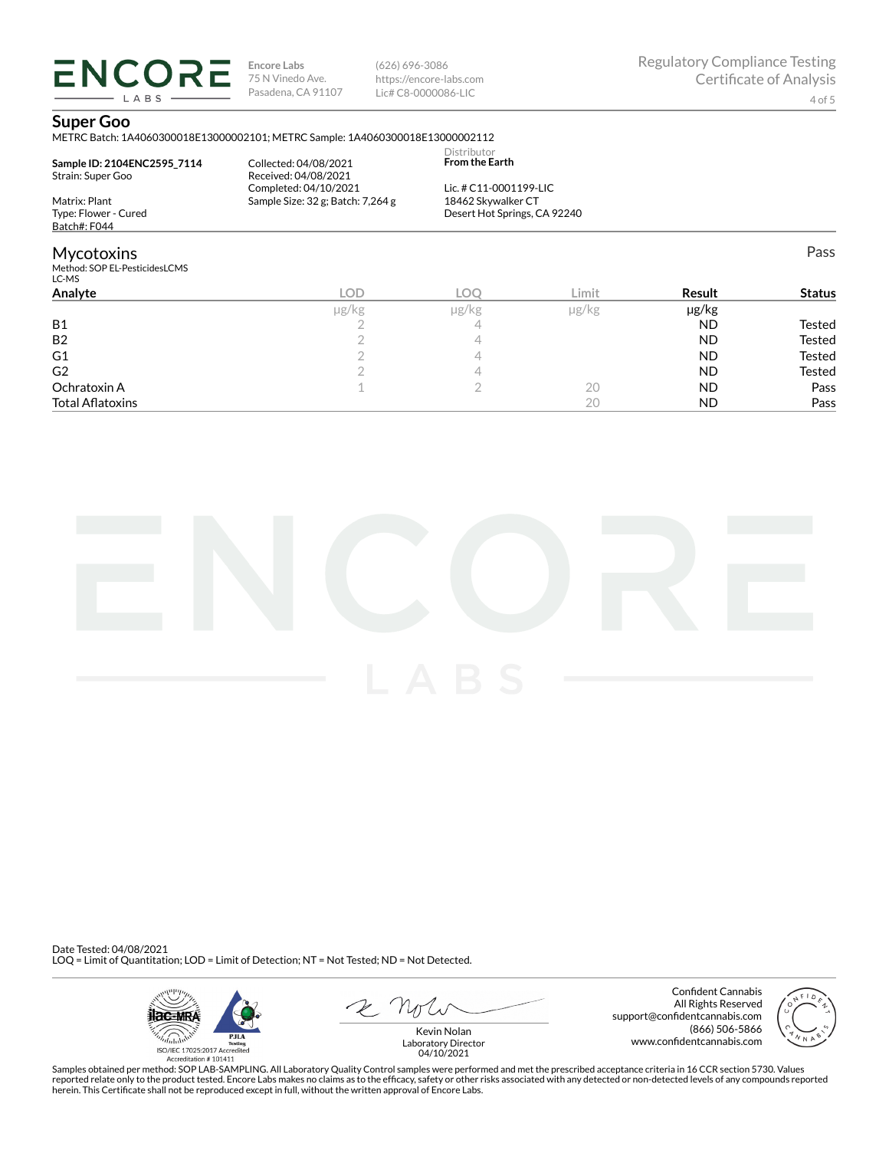**ENCORE** LABS

**Encore Labs** 75 N Vinedo Ave. Pasadena, CA 91107

(626) 696-3086 https://encore-labs.com Lic# C8-0000086-LIC

Pass

### **Super Goo**

METRC Batch: 1A4060300018E13000002101; METRC Sample: 1A4060300018E13000002112

| Sample ID: 2104ENC2595 7114<br>Strain: Super Goo | Collected: 04/08/2021<br>Received: 04/08/2021 | Distributor<br><b>From the Earth</b> |  |
|--------------------------------------------------|-----------------------------------------------|--------------------------------------|--|
|                                                  | Completed: 04/10/2021                         | Lic. # C11-0001199-LIC               |  |
| Matrix: Plant                                    | Sample Size: 32 g; Batch: 7,264 g             | 18462 Skywalker CT                   |  |
| Type: Flower - Cured                             |                                               | Desert Hot Springs, CA 92240         |  |
| Batch#: F044                                     |                                               |                                      |  |
| Mycotoxins                                       |                                               |                                      |  |
| Method: SOP EL-PesticidesLCMS<br>LC-MS           |                                               |                                      |  |

| LC-IVIJ                 |       |       |       |           |               |
|-------------------------|-------|-------|-------|-----------|---------------|
| Analyte                 | LOD   | LOC   | Limit | Result    | <b>Status</b> |
|                         | µg/kg | µg/kg | µg/kg | µg/kg     |               |
| <b>B1</b>               |       |       |       | ND        | Tested        |
| <b>B2</b>               |       |       |       | ND        | Tested        |
| G1                      |       |       |       | <b>ND</b> | Tested        |
| G <sub>2</sub>          |       |       |       | <b>ND</b> | Tested        |
| Ochratoxin A            |       |       | 20    | <b>ND</b> | Pass          |
| <b>Total Aflatoxins</b> |       |       | 20    | ND        | Pass          |



Date Tested: 04/08/2021 LOQ = Limit of Quantitation; LOD = Limit of Detection; NT = Not Tested; ND = Not Detected.



Confident Cannabis All Rights Reserved support@confidentcannabis.com (866) 506-5866 www.confidentcannabis.com



Kevin Nolan Laboratory Director 04/10/2021